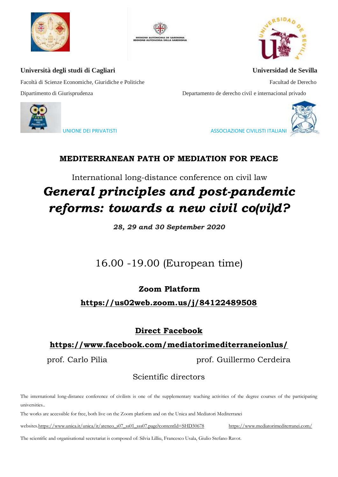





Facoltà di Scienze Economiche, Giuridiche e Politiche Facultad de Derecho Dipartimento di Giurisprudenza Departamento de derecho civil e internacional privado





UNIONE DEI PRIVATISTI ASSOCIAZIONE CIVILISTI ITALIANI ASSOCIAZIONE CIVILISTI ITALIANI

# **MEDITERRANEAN PATH OF MEDIATION FOR PEACE**

International long-distance conference on civil law

# *General principles and post-pandemic reforms: towards a new civil co(vi)d?*

*28, 29 and 30 September 2020*

# 16.00 -19.00 (European time)

**Zoom Platform**

**<https://us02web.zoom.us/j/84122489508>**

# **Direct Facebook**

# **<https://www.facebook.com/mediatorimediterraneionlus/>**

prof. Carlo Pilia **prof.** Guillermo Cerdeira

# Scientific directors

The international long-distance conference of civilists is one of the supplementary teaching activities of the degree courses of the participating universities..

The works are accessible for free, both live on the Zoom platform and on the Unica and Mediatori Mediterranei

website[s.https://www.unica.it/unica/it/ateneo\\_s07\\_ss01\\_sss07.page?contentId=SHD30678](https://www.unica.it/unica/it/ateneo_s07_ss01_sss07.page?contentId=SHD30678) <https://www.mediatorimediterranei.com/>

The scientific and organisational secretariat is composed of: Silvia Lilliu, Francesco Usala, Giulio Stefano Ravot.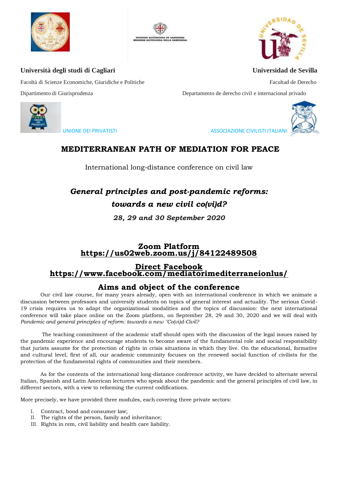





Facoltà di Scienze Economiche, Giuridiche e Politiche Facultad de Derecho Facultad de Derecho

Dipartimento di Giurisprudenza Departamento de derecho civil e internacional privado



UNIONE DEI PRIVATISTI ASSOCIAZIONE CIVILISTI ITALIANI

## **MEDITERRANEAN PATH OF MEDIATION FOR PEACE**

International long-distance conference on civil law

# *General principles and post-pandemic reforms: towards a new civil co(vi)d?*

*28, 29 and 30 September 2020*

#### **Zoom Platform <https://us02web.zoom.us/j/84122489508>**

#### **Direct Facebook <https://www.facebook.com/mediatorimediterraneionlus/>**

### **Aims and object of the conference**

Our civil law course, for many years already, open with an international conference in which we animate a discussion between professors and university students on topics of general interest and actuality. The serious Covid-19 crisis requires us to adapt the organizational modalities and the topics of discussion: the next international conference will take place online on the Zoom platform, on September 28, 29 and 30, 2020 and we will deal with *Pandemic and general principles of reform: towards a new "Co(vi)d-Civil?*

The teaching commitment of the academic staff should open with the discussion of the legal issues raised by the pandemic experience and encourage students to become aware of the fundamental role and social responsibility that jurists assume for the protection of rights in crisis situations in which they live. On the educational, formative and cultural level, first of all, our academic community focuses on the renewed social function of civilists for the protection of the fundamental rights of communities and their members.

As for the contents of the international long-distance conference activity, we have decided to alternate several Italian, Spanish and Latin American lecturers who speak about the pandemic and the general principles of civil law, in different sectors, with a view to reforming the current codifications.

More precisely, we have provided three modules, each covering three private sectors:

- I. Contract, bond and consumer law;
- II. The rights of the person, family and inheritance;
- III. Rights in rem, civil liability and health care liability.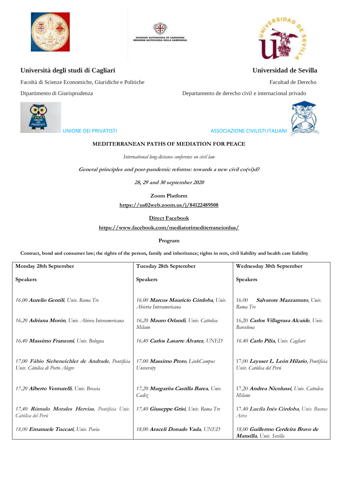





Facoltà di Scienze Economiche, Giuridiche e Politiche Facultad de Derecho

Dipartimento di Giurisprudenza Departamento de derecho civil e internacional privado



UNIONE DEI PRIVATISTI ASSOCIAZIONE CIVILISTI ITALIANI

#### **MEDITERRANEAN PATHS OF MEDIATION FOR PEACE**

*International long-distance conference on civil law*

**General principles and post-pandemic reforms: towards a new civil co(vi)d?** 

**28, 29 and 30 september 2020**

**Zoom Platform**

**<https://us02web.zoom.us/j/84122489508>**

#### **Direct Facebook**

**<https://www.facebook.com/mediatorimediterraneionlus/>**

**Program**

**Contract, bond and consumer law; the rights of the person, family and inheritance; rights in rem, civil liability and health care liability**

| Monday 28th September                                                              | Tuesday 28th September                                         | Wednesday 30th September                                             |
|------------------------------------------------------------------------------------|----------------------------------------------------------------|----------------------------------------------------------------------|
| Speakers                                                                           | <b>Speakers</b>                                                | Speakers                                                             |
| 16.00 Aurelio Gentili, Univ. Roma Tre                                              | 16.00 Marcos Mauricio Córdoba, Univ.<br>Abierta Interamericana | 16.00<br>Salvatore Mazzamuto, Univ.<br>Roma Tre                      |
| 16,20 Adriana Morón, Univ. Abiera Interamericana                                   | 16,20 Mauro Orlandi, Univ. Cattolica<br>Milano                 | 16,20 Carlos Villagrasa Alcaide, Univ.<br>Barcelona                  |
| 16,40 Massimo Franzoni, Univ. Bologna                                              | 16,40 Carlos Lasarte Álvarez, UNED                             | 16.40 Carlo Pilia, Univ. Cagliari                                    |
| 17,00 Fábio Siebeneichler de Andrade, Pontificia<br>Univ. Cátolica di Porto Alegre | 17.00 Massimo Proto, LinkCampus<br>University                  | 17,00 Leysser L. León Hilario, Pontificia<br>Univ. Católica del Perú |
| 17,20 Alberto Venturelli, Univ. Brescia                                            | 17,20 Margarita Castilla Barea, Univ.<br>Cadiz                 | 17,20 Andrea Nicolussi, Univ. Cattolica<br>Milano                    |
| 17,40 Rómulo Morales Hervias, Pontificia Univ.<br>Católica del Perú                | 17,40 Giuseppe Grisi, Univ. Roma Tre                           | 17.40 Lucila Inés Córdoba, Univ. Buenos<br>Aires                     |
| 18,00 <b>Emanuele Tuccari</b> , Univ. Pavia                                        | 18,00 Araceli Donado Vada, UNED                                | 18,00 Guillermo Cerdeira Bravo de<br><b>Mansilla</b> , Univ. Sevilla |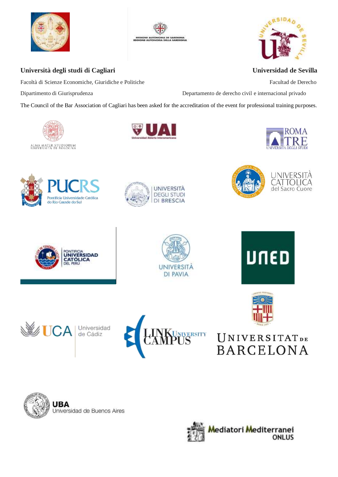





Facoltà di Scienze Economiche, Giuridiche e Politiche Facultad de Derecho

Dipartimento di Giurisprudenza Departamento de derecho civil e internacional privado

The Council of the Bar Association of Cagliari has been asked for the accreditation of the event for professional training purposes.























 $\mathbf{L}$ 

# US UNIVERSITATDE<br>BARCELONA